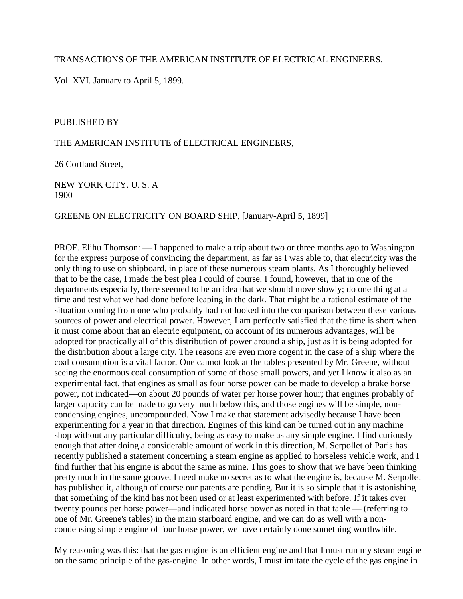## TRANSACTIONS OF THE AMERICAN INSTITUTE OF ELECTRICAL ENGINEERS.

Vol. XVI. January to April 5, 1899.

#### PUBLISHED BY

#### THE AMERICAN INSTITUTE of ELECTRICAL ENGINEERS,

26 Cortland Street,

NEW YORK CITY. U. S. A 1900

#### GREENE ON ELECTRICITY ON BOARD SHIP, [January-April 5, 1899]

PROF. Elihu Thomson: — I happened to make a trip about two or three months ago to Washington for the express purpose of convincing the department, as far as I was able to, that electricity was the only thing to use on shipboard, in place of these numerous steam plants. As I thoroughly believed that to be the case, I made the best plea I could of course. I found, however, that in one of the departments especially, there seemed to be an idea that we should move slowly; do one thing at a time and test what we had done before leaping in the dark. That might be a rational estimate of the situation coming from one who probably had not looked into the comparison between these various sources of power and electrical power. However, I am perfectly satisfied that the time is short when it must come about that an electric equipment, on account of its numerous advantages, will be adopted for practically all of this distribution of power around a ship, just as it is being adopted for the distribution about a large city. The reasons are even more cogent in the case of a ship where the coal consumption is a vital factor. One cannot look at the tables presented by Mr. Greene, without seeing the enormous coal consumption of some of those small powers, and yet I know it also as an experimental fact, that engines as small as four horse power can be made to develop a brake horse power, not indicated—on about 20 pounds of water per horse power hour; that engines probably of larger capacity can be made to go very much below this, and those engines will be simple, noncondensing engines, uncompounded. Now I make that statement advisedly because I have been experimenting for a year in that direction. Engines of this kind can be turned out in any machine shop without any particular difficulty, being as easy to make as any simple engine. I find curiously enough that after doing a considerable amount of work in this direction, M. Serpollet of Paris has recently published a statement concerning a steam engine as applied to horseless vehicle work, and I find further that his engine is about the same as mine. This goes to show that we have been thinking pretty much in the same groove. I need make no secret as to what the engine is, because M. Serpollet has published it, although of course our patents are pending. But it is so simple that it is astonishing that something of the kind has not been used or at least experimented with before. If it takes over twenty pounds per horse power—and indicated horse power as noted in that table — (referring to one of Mr. Greene's tables) in the main starboard engine, and we can do as well with a noncondensing simple engine of four horse power, we have certainly done something worthwhile.

My reasoning was this: that the gas engine is an efficient engine and that I must run my steam engine on the same principle of the gas-engine. In other words, I must imitate the cycle of the gas engine in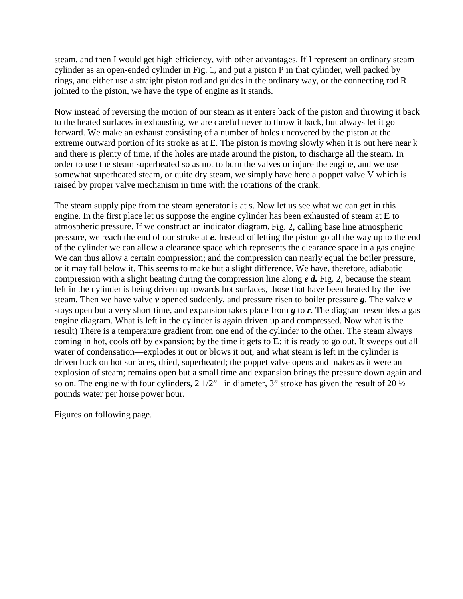steam, and then I would get high efficiency, with other advantages. If I represent an ordinary steam cylinder as an open-ended cylinder in Fig. 1, and put a piston P in that cylinder, well packed by rings, and either use a straight piston rod and guides in the ordinary way, or the connecting rod R jointed to the piston, we have the type of engine as it stands.

Now instead of reversing the motion of our steam as it enters back of the piston and throwing it back to the heated surfaces in exhausting, we are careful never to throw it back, but always let it go forward. We make an exhaust consisting of a number of holes uncovered by the piston at the extreme outward portion of its stroke as at E. The piston is moving slowly when it is out here near k and there is plenty of time, if the holes are made around the piston, to discharge all the steam. In order to use the steam superheated so as not to burn the valves or injure the engine, and we use somewhat superheated steam, or quite dry steam, we simply have here a poppet valve V which is raised by proper valve mechanism in time with the rotations of the crank.

The steam supply pipe from the steam generator is at s. Now let us see what we can get in this engine. In the first place let us suppose the engine cylinder has been exhausted of steam at **E** to atmospheric pressure. If we construct an indicator diagram, Fig. 2, calling base line atmospheric pressure, we reach the end of our stroke at *e*. Instead of letting the piston go all the way up to the end of the cylinder we can allow a clearance space which represents the clearance space in a gas engine. We can thus allow a certain compression; and the compression can nearly equal the boiler pressure, or it may fall below it. This seems to make but a slight difference. We have, therefore, adiabatic compression with a slight heating during the compression line along *e d.* Fig. 2, because the steam left in the cylinder is being driven up towards hot surfaces, those that have been heated by the live steam. Then we have valve *v* opened suddenly, and pressure risen to boiler pressure *g*. The valve *v* stays open but a very short time, and expansion takes place from *g* to *r*. The diagram resembles a gas engine diagram. What is left in the cylinder is again driven up and compressed. Now what is the result) There is a temperature gradient from one end of the cylinder to the other. The steam always coming in hot, cools off by expansion; by the time it gets to **E**: it is ready to go out. It sweeps out all water of condensation—explodes it out or blows it out, and what steam is left in the cylinder is driven back on hot surfaces, dried, superheated; the poppet valve opens and makes as it were an explosion of steam; remains open but a small time and expansion brings the pressure down again and so on. The engine with four cylinders, 2 1/2" in diameter, 3" stroke has given the result of 20 ½ pounds water per horse power hour.

Figures on following page.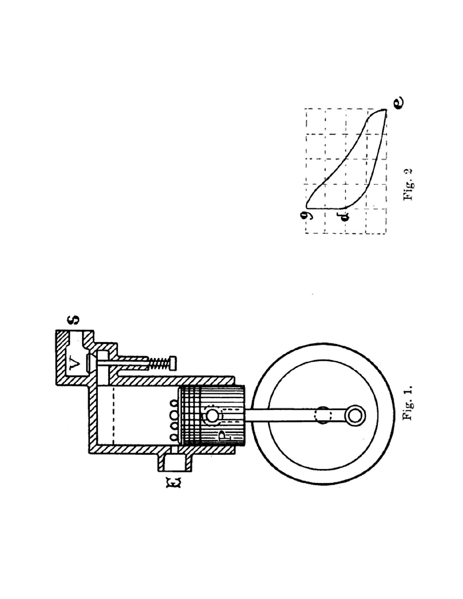

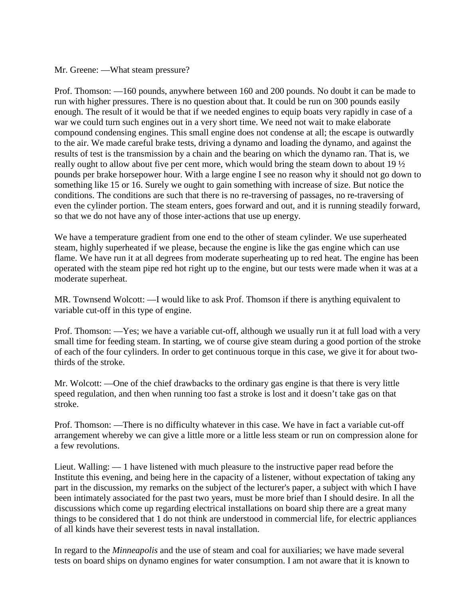Mr. Greene: —What steam pressure?

Prof. Thomson: —160 pounds, anywhere between 160 and 200 pounds. No doubt it can be made to run with higher pressures. There is no question about that. It could be run on 300 pounds easily enough. The result of it would be that if we needed engines to equip boats very rapidly in case of a war we could turn such engines out in a very short time. We need not wait to make elaborate compound condensing engines. This small engine does not condense at all; the escape is outwardly to the air. We made careful brake tests, driving a dynamo and loading the dynamo, and against the results of test is the transmission by a chain and the bearing on which the dynamo ran. That is, we really ought to allow about five per cent more, which would bring the steam down to about 19 ½ pounds per brake horsepower hour. With a large engine I see no reason why it should not go down to something like 15 or 16. Surely we ought to gain something with increase of size. But notice the conditions. The conditions are such that there is no re-traversing of passages, no re-traversing of even the cylinder portion. The steam enters, goes forward and out, and it is running steadily forward, so that we do not have any of those inter-actions that use up energy.

We have a temperature gradient from one end to the other of steam cylinder. We use superheated steam, highly superheated if we please, because the engine is like the gas engine which can use flame. We have run it at all degrees from moderate superheating up to red heat. The engine has been operated with the steam pipe red hot right up to the engine, but our tests were made when it was at a moderate superheat.

MR. Townsend Wolcott: —I would like to ask Prof. Thomson if there is anything equivalent to variable cut-off in this type of engine.

Prof. Thomson: —Yes; we have a variable cut-off, although we usually run it at full load with a very small time for feeding steam. In starting, we of course give steam during a good portion of the stroke of each of the four cylinders. In order to get continuous torque in this case, we give it for about twothirds of the stroke.

Mr. Wolcott: —One of the chief drawbacks to the ordinary gas engine is that there is very little speed regulation, and then when running too fast a stroke is lost and it doesn't take gas on that stroke.

Prof. Thomson: —There is no difficulty whatever in this case. We have in fact a variable cut-off arrangement whereby we can give a little more or a little less steam or run on compression alone for a few revolutions.

Lieut. Walling: — 1 have listened with much pleasure to the instructive paper read before the Institute this evening, and being here in the capacity of a listener, without expectation of taking any part in the discussion, my remarks on the subject of the lecturer's paper, a subject with which I have been intimately associated for the past two years, must be more brief than I should desire. In all the discussions which come up regarding electrical installations on board ship there are a great many things to be considered that 1 do not think are understood in commercial life, for electric appliances of all kinds have their severest tests in naval installation.

In regard to the *Minneapolis* and the use of steam and coal for auxiliaries; we have made several tests on board ships on dynamo engines for water consumption. I am not aware that it is known to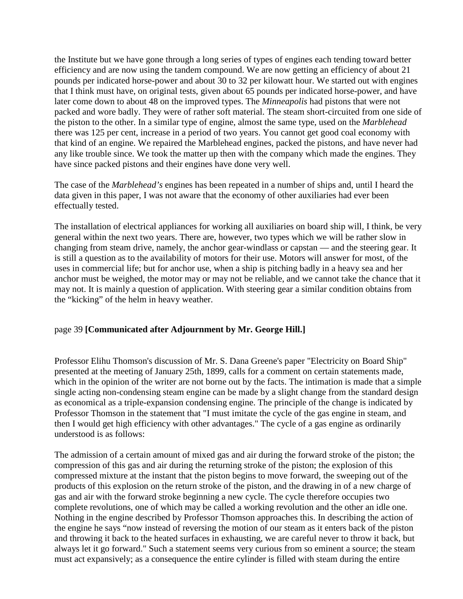the Institute but we have gone through a long series of types of engines each tending toward better efficiency and are now using the tandem compound. We are now getting an efficiency of about 21 pounds per indicated horse-power and about 30 to 32 per kilowatt hour. We started out with engines that I think must have, on original tests, given about 65 pounds per indicated horse-power, and have later come down to about 48 on the improved types. The *Minneapolis* had pistons that were not packed and wore badly. They were of rather soft material. The steam short-circuited from one side of the piston to the other. In a similar type of engine, almost the same type, used on the *Marblehead* there was 125 per cent, increase in a period of two years. You cannot get good coal economy with that kind of an engine. We repaired the Marblehead engines, packed the pistons, and have never had any like trouble since. We took the matter up then with the company which made the engines. They have since packed pistons and their engines have done very well.

The case of the *Marblehead's* engines has been repeated in a number of ships and, until I heard the data given in this paper, I was not aware that the economy of other auxiliaries had ever been effectually tested.

The installation of electrical appliances for working all auxiliaries on board ship will, I think, be very general within the next two years. There are, however, two types which we will be rather slow in changing from steam drive, namely, the anchor gear-windlass or capstan — and the steering gear. It is still a question as to the availability of motors for their use. Motors will answer for most, of the uses in commercial life; but for anchor use, when a ship is pitching badly in a heavy sea and her anchor must be weighed, the motor may or may not be reliable, and we cannot take the chance that it may not. It is mainly a question of application. With steering gear a similar condition obtains from the "kicking" of the helm in heavy weather.

## page 39 **[Communicated after Adjournment by Mr. George Hill.]**

Professor Elihu Thomson's discussion of Mr. S. Dana Greene's paper "Electricity on Board Ship" presented at the meeting of January 25th, 1899, calls for a comment on certain statements made, which in the opinion of the writer are not borne out by the facts. The intimation is made that a simple single acting non-condensing steam engine can be made by a slight change from the standard design as economical as a triple-expansion condensing engine. The principle of the change is indicated by Professor Thomson in the statement that "I must imitate the cycle of the gas engine in steam, and then I would get high efficiency with other advantages." The cycle of a gas engine as ordinarily understood is as follows:

The admission of a certain amount of mixed gas and air during the forward stroke of the piston; the compression of this gas and air during the returning stroke of the piston; the explosion of this compressed mixture at the instant that the piston begins to move forward, the sweeping out of the products of this explosion on the return stroke of the piston, and the drawing in of a new charge of gas and air with the forward stroke beginning a new cycle. The cycle therefore occupies two complete revolutions, one of which may be called a working revolution and the other an idle one. Nothing in the engine described by Professor Thomson approaches this. In describing the action of the engine he says "now instead of reversing the motion of our steam as it enters back of the piston and throwing it back to the heated surfaces in exhausting, we are careful never to throw it back, but always let it go forward." Such a statement seems very curious from so eminent a source; the steam must act expansively; as a consequence the entire cylinder is filled with steam during the entire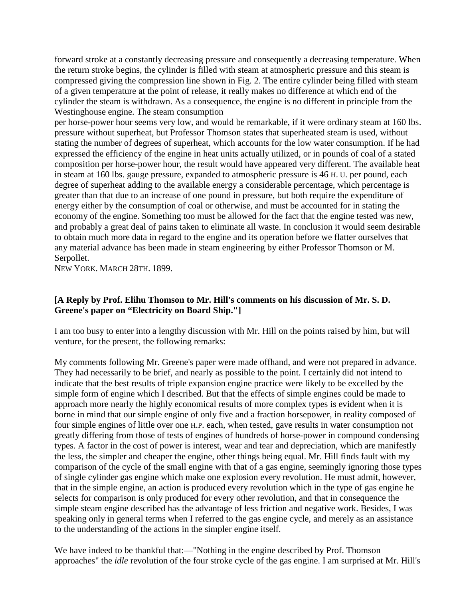forward stroke at a constantly decreasing pressure and consequently a decreasing temperature. When the return stroke begins, the cylinder is filled with steam at atmospheric pressure and this steam is compressed giving the compression line shown in Fig. 2. The entire cylinder being filled with steam of a given temperature at the point of release, it really makes no difference at which end of the cylinder the steam is withdrawn. As a consequence, the engine is no different in principle from the Westinghouse engine. The steam consumption

per horse-power hour seems very low, and would be remarkable, if it were ordinary steam at 160 lbs. pressure without superheat, but Professor Thomson states that superheated steam is used, without stating the number of degrees of superheat, which accounts for the low water consumption. If he had expressed the efficiency of the engine in heat units actually utilized, or in pounds of coal of a stated composition per horse-power hour, the result would have appeared very different. The available heat in steam at 160 lbs. gauge pressure, expanded to atmospheric pressure is 46 H. U. per pound, each degree of superheat adding to the available energy a considerable percentage, which percentage is greater than that due to an increase of one pound in pressure, but both require the expenditure of energy either by the consumption of coal or otherwise, and must be accounted for in stating the economy of the engine. Something too must be allowed for the fact that the engine tested was new, and probably a great deal of pains taken to eliminate all waste. In conclusion it would seem desirable to obtain much more data in regard to the engine and its operation before we flatter ourselves that any material advance has been made in steam engineering by either Professor Thomson or M. Serpollet.

NEW YORK. MARCH 28TH. 1899.

# **[A Reply by Prof. Elihu Thomson to Mr. Hill's comments on his discussion of Mr. S. D. Greene's paper on "Electricity on Board Ship."]**

I am too busy to enter into a lengthy discussion with Mr. Hill on the points raised by him, but will venture, for the present, the following remarks:

My comments following Mr. Greene's paper were made offhand, and were not prepared in advance. They had necessarily to be brief, and nearly as possible to the point. I certainly did not intend to indicate that the best results of triple expansion engine practice were likely to be excelled by the simple form of engine which I described. But that the effects of simple engines could be made to approach more nearly the highly economical results of more complex types is evident when it is borne in mind that our simple engine of only five and a fraction horsepower, in reality composed of four simple engines of little over one H.P. each, when tested, gave results in water consumption not greatly differing from those of tests of engines of hundreds of horse-power in compound condensing types. A factor in the cost of power is interest, wear and tear and depreciation, which are manifestly the less, the simpler and cheaper the engine, other things being equal. Mr. Hill finds fault with my comparison of the cycle of the small engine with that of a gas engine, seemingly ignoring those types of single cylinder gas engine which make one explosion every revolution. He must admit, however, that in the simple engine, an action is produced every revolution which in the type of gas engine he selects for comparison is only produced for every other revolution, and that in consequence the simple steam engine described has the advantage of less friction and negative work. Besides, I was speaking only in general terms when I referred to the gas engine cycle, and merely as an assistance to the understanding of the actions in the simpler engine itself.

We have indeed to be thankful that:—"Nothing in the engine described by Prof. Thomson approaches" the *idle* revolution of the four stroke cycle of the gas engine. I am surprised at Mr. Hill's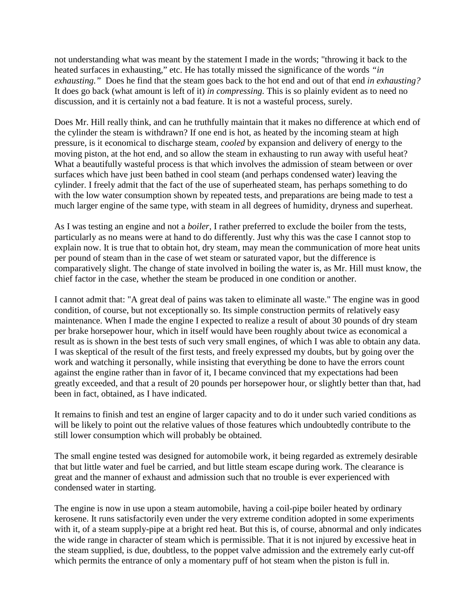not understanding what was meant by the statement I made in the words; "throwing it back to the heated surfaces in exhausting," etc. He has totally missed the significance of the words *"in exhausting."* Does he find that the steam goes back to the hot end and out of that end *in exhausting?* It does go back (what amount is left of it) *in compressing.* This is so plainly evident as to need no discussion, and it is certainly not a bad feature. It is not a wasteful process, surely.

Does Mr. Hill really think, and can he truthfully maintain that it makes no difference at which end of the cylinder the steam is withdrawn? If one end is hot, as heated by the incoming steam at high pressure, is it economical to discharge steam, *cooled* by expansion and delivery of energy to the moving piston, at the hot end, and so allow the steam in exhausting to run away with useful heat? What a beautifully wasteful process is that which involves the admission of steam between or over surfaces which have just been bathed in cool steam (and perhaps condensed water) leaving the cylinder. I freely admit that the fact of the use of superheated steam, has perhaps something to do with the low water consumption shown by repeated tests, and preparations are being made to test a much larger engine of the same type, with steam in all degrees of humidity, dryness and superheat.

As I was testing an engine and not a *boiler,* I rather preferred to exclude the boiler from the tests, particularly as no means were at hand to do differently. Just why this was the case I cannot stop to explain now. It is true that to obtain hot, dry steam, may mean the communication of more heat units per pound of steam than in the case of wet steam or saturated vapor, but the difference is comparatively slight. The change of state involved in boiling the water is, as Mr. Hill must know, the chief factor in the case, whether the steam be produced in one condition or another.

I cannot admit that: "A great deal of pains was taken to eliminate all waste." The engine was in good condition, of course, but not exceptionally so. Its simple construction permits of relatively easy maintenance. When I made the engine I expected to realize a result of about 30 pounds of dry steam per brake horsepower hour, which in itself would have been roughly about twice as economical a result as is shown in the best tests of such very small engines, of which I was able to obtain any data. I was skeptical of the result of the first tests, and freely expressed my doubts, but by going over the work and watching it personally, while insisting that everything be done to have the errors count against the engine rather than in favor of it, I became convinced that my expectations had been greatly exceeded, and that a result of 20 pounds per horsepower hour, or slightly better than that, had been in fact, obtained, as I have indicated.

It remains to finish and test an engine of larger capacity and to do it under such varied conditions as will be likely to point out the relative values of those features which undoubtedly contribute to the still lower consumption which will probably be obtained.

The small engine tested was designed for automobile work, it being regarded as extremely desirable that but little water and fuel be carried, and but little steam escape during work. The clearance is great and the manner of exhaust and admission such that no trouble is ever experienced with condensed water in starting.

The engine is now in use upon a steam automobile, having a coil-pipe boiler heated by ordinary kerosene. It runs satisfactorily even under the very extreme condition adopted in some experiments with it, of a steam supply-pipe at a bright red heat. But this is, of course, abnormal and only indicates the wide range in character of steam which is permissible. That it is not injured by excessive heat in the steam supplied, is due, doubtless, to the poppet valve admission and the extremely early cut-off which permits the entrance of only a momentary puff of hot steam when the piston is full in.